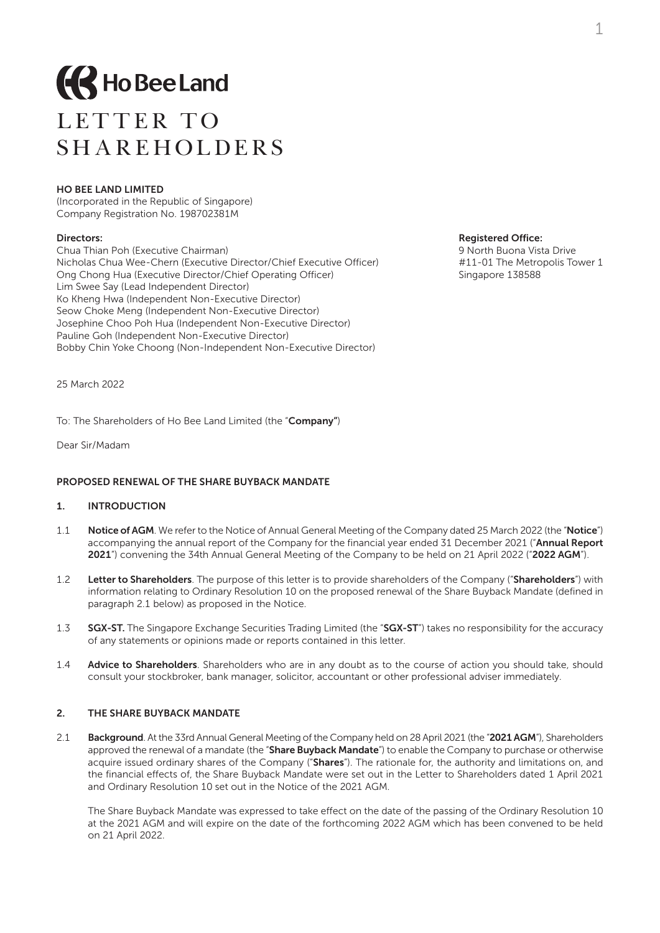

# LETTER TO SHAREHOLDERS

#### HO BEE LAND LIMITED

(Incorporated in the Republic of Singapore) Company Registration No. 198702381M

**Directors: Registered Office: Registered Office: Registered Office: Registered Office: Registered Office: Registered Office: Registered Office: Registered Office: Registered Office: Registered Office:** Chua Thian Poh (Executive Chairman) Nicholas Chua Wee-Chern (Executive Director/Chief Executive Officer) #11-01 The Metropolis Tower 1 Ong Chong Hua (Executive Director/Chief Operating Officer) Singapore 138588 Lim Swee Say (Lead Independent Director) Ko Kheng Hwa (Independent Non-Executive Director) Seow Choke Meng (Independent Non-Executive Director) Josephine Choo Poh Hua (Independent Non-Executive Director) Pauline Goh (Independent Non-Executive Director) Bobby Chin Yoke Choong (Non-Independent Non-Executive Director)

25 March 2022

To: The Shareholders of Ho Bee Land Limited (the "Company")

Dear Sir/Madam

#### PROPOSED RENEWAL OF THE SHARE BUYBACK MANDATE

### 1. INTRODUCTION

- 1.1 Notice of AGM. We refer to the Notice of Annual General Meeting of the Company dated 25 March 2022 (the "Notice") accompanying the annual report of the Company for the financial year ended 31 December 2021 ("Annual Report 2021") convening the 34th Annual General Meeting of the Company to be held on 21 April 2022 ("2022 AGM").
- 1.2 Letter to Shareholders. The purpose of this letter is to provide shareholders of the Company ("Shareholders") with information relating to Ordinary Resolution 10 on the proposed renewal of the Share Buyback Mandate (defined in paragraph 2.1 below) as proposed in the Notice.
- 1.3 **SGX-ST.** The Singapore Exchange Securities Trading Limited (the "SGX-ST") takes no responsibility for the accuracy of any statements or opinions made or reports contained in this letter.
- 1.4 Advice to Shareholders. Shareholders who are in any doubt as to the course of action you should take, should consult your stockbroker, bank manager, solicitor, accountant or other professional adviser immediately.

#### 2. THE SHARE BUYBACK MANDATE

2.1 Background. At the 33rd Annual General Meeting of the Company held on 28 April 2021 (the "2021 AGM"). Shareholders approved the renewal of a mandate (the "Share Buyback Mandate") to enable the Company to purchase or otherwise acquire issued ordinary shares of the Company ("Shares"). The rationale for, the authority and limitations on, and the financial effects of, the Share Buyback Mandate were set out in the Letter to Shareholders dated 1 April 2021 and Ordinary Resolution 10 set out in the Notice of the 2021 AGM.

The Share Buyback Mandate was expressed to take effect on the date of the passing of the Ordinary Resolution 10 at the 2021 AGM and will expire on the date of the forthcoming 2022 AGM which has been convened to be held on 21 April 2022.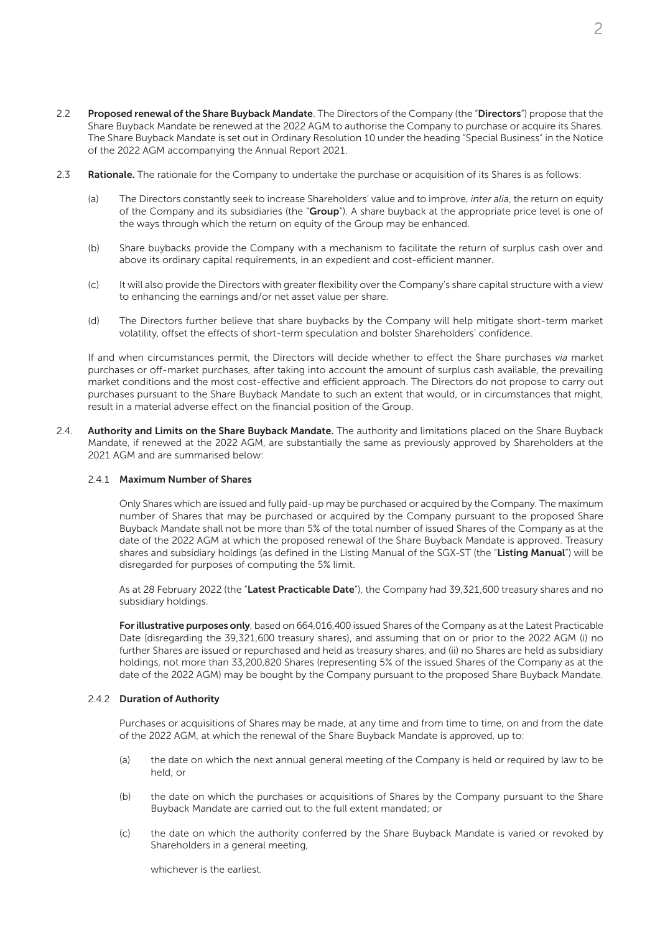- 2.2 Proposed renewal of the Share Buyback Mandate. The Directors of the Company (the "Directors") propose that the Share Buyback Mandate be renewed at the 2022 AGM to authorise the Company to purchase or acquire its Shares. The Share Buyback Mandate is set out in Ordinary Resolution 10 under the heading "Special Business" in the Notice of the 2022 AGM accompanying the Annual Report 2021.
- 2.3 Rationale. The rationale for the Company to undertake the purchase or acquisition of its Shares is as follows:
	- (a) The Directors constantly seek to increase Shareholders' value and to improve, *inter alia*, the return on equity of the Company and its subsidiaries (the "Group"). A share buyback at the appropriate price level is one of the ways through which the return on equity of the Group may be enhanced.
	- (b) Share buybacks provide the Company with a mechanism to facilitate the return of surplus cash over and above its ordinary capital requirements, in an expedient and cost-efficient manner.
	- (c) It will also provide the Directors with greater flexibility over the Company's share capital structure with a view to enhancing the earnings and/or net asset value per share.
	- (d) The Directors further believe that share buybacks by the Company will help mitigate short-term market volatility, offset the effects of short-term speculation and bolster Shareholders' confidence.

If and when circumstances permit, the Directors will decide whether to effect the Share purchases *via* market purchases or off-market purchases, after taking into account the amount of surplus cash available, the prevailing market conditions and the most cost-effective and efficient approach. The Directors do not propose to carry out purchases pursuant to the Share Buyback Mandate to such an extent that would, or in circumstances that might, result in a material adverse effect on the financial position of the Group.

2.4. Authority and Limits on the Share Buyback Mandate. The authority and limitations placed on the Share Buyback Mandate, if renewed at the 2022 AGM, are substantially the same as previously approved by Shareholders at the 2021 AGM and are summarised below:

### 2.4.1 Maximum Number of Shares

Only Shares which are issued and fully paid-up may be purchased or acquired by the Company. The maximum number of Shares that may be purchased or acquired by the Company pursuant to the proposed Share Buyback Mandate shall not be more than 5% of the total number of issued Shares of the Company as at the date of the 2022 AGM at which the proposed renewal of the Share Buyback Mandate is approved. Treasury shares and subsidiary holdings (as defined in the Listing Manual of the SGX-ST (the "Listing Manual") will be disregarded for purposes of computing the 5% limit.

As at 28 February 2022 (the "Latest Practicable Date"), the Company had 39,321,600 treasury shares and no subsidiary holdings.

For illustrative purposes only, based on 664,016,400 issued Shares of the Company as at the Latest Practicable Date (disregarding the 39,321,600 treasury shares), and assuming that on or prior to the 2022 AGM (i) no further Shares are issued or repurchased and held as treasury shares, and (ii) no Shares are held as subsidiary holdings, not more than 33,200,820 Shares (representing 5% of the issued Shares of the Company as at the date of the 2022 AGM) may be bought by the Company pursuant to the proposed Share Buyback Mandate.

### 2.4.2 Duration of Authority

Purchases or acquisitions of Shares may be made, at any time and from time to time, on and from the date of the 2022 AGM, at which the renewal of the Share Buyback Mandate is approved, up to:

- (a) the date on which the next annual general meeting of the Company is held or required by law to be held; or
- (b) the date on which the purchases or acquisitions of Shares by the Company pursuant to the Share Buyback Mandate are carried out to the full extent mandated; or
- (c) the date on which the authority conferred by the Share Buyback Mandate is varied or revoked by Shareholders in a general meeting,

whichever is the earliest.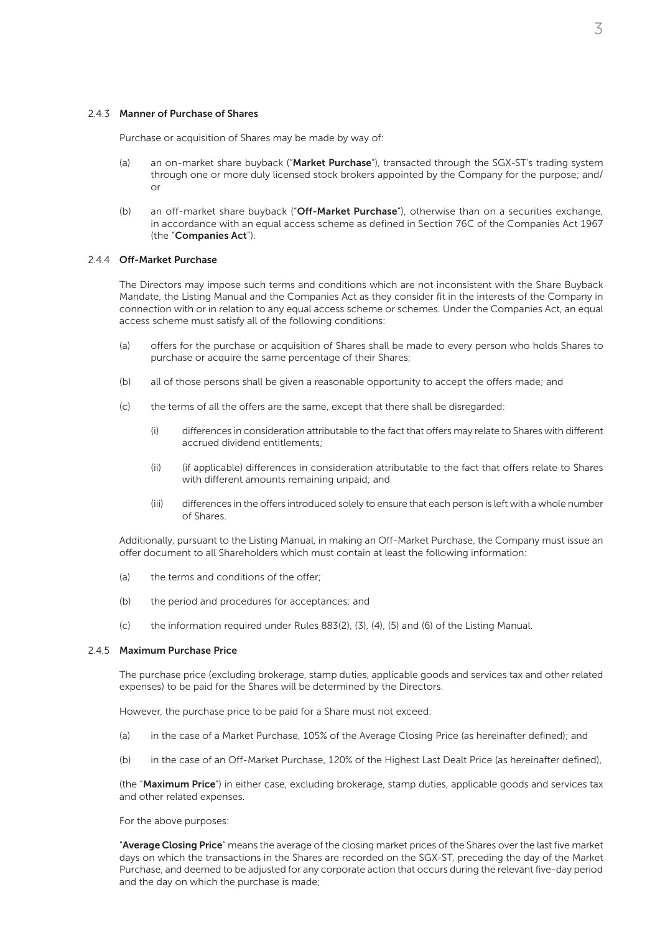#### 2.4.3 Manner of Purchase of Shares

Purchase or acquisition of Shares may be made by way of:

- (a) an on-market share buyback ("Market Purchase"), transacted through the SGX-ST's trading system through one or more duly licensed stock brokers appointed by the Company for the purpose; and/ or
- (b) an off-market share buyback ("Off-Market Purchase"), otherwise than on a securities exchange, in accordance with an equal access scheme as defined in Section 76C of the Companies Act 1967 (the "Companies Act").

#### 2.4.4 Off-Market Purchase

The Directors may impose such terms and conditions which are not inconsistent with the Share Buyback Mandate, the Listing Manual and the Companies Act as they consider fit in the interests of the Company in connection with or in relation to any equal access scheme or schemes. Under the Companies Act, an equal access scheme must satisfy all of the following conditions:

- (a) offers for the purchase or acquisition of Shares shall be made to every person who holds Shares to purchase or acquire the same percentage of their Shares;
- (b) all of those persons shall be given a reasonable opportunity to accept the offers made; and
- (c) the terms of all the offers are the same, except that there shall be disregarded:
	- (i) differences in consideration attributable to the fact that offers may relate to Shares with different accrued dividend entitlements;
	- (ii) (if applicable) differences in consideration attributable to the fact that offers relate to Shares with different amounts remaining unpaid; and
	- (iii) differences in the offers introduced solely to ensure that each person is left with a whole number of Shares.

Additionally, pursuant to the Listing Manual, in making an Off-Market Purchase, the Company must issue an offer document to all Shareholders which must contain at least the following information:

- (a) the terms and conditions of the offer;
- (b) the period and procedures for acceptances; and
- (c) the information required under Rules 883(2), (3), (4), (5) and (6) of the Listing Manual.

#### 2.4.5 Maximum Purchase Price

The purchase price (excluding brokerage, stamp duties, applicable goods and services tax and other related expenses) to be paid for the Shares will be determined by the Directors.

However, the purchase price to be paid for a Share must not exceed:

- (a) in the case of a Market Purchase, 105% of the Average Closing Price (as hereinafter defined); and
- (b) in the case of an Off-Market Purchase, 120% of the Highest Last Dealt Price (as hereinafter defined),

(the "Maximum Price") in either case, excluding brokerage, stamp duties, applicable goods and services tax and other related expenses.

For the above purposes:

"Average Closing Price" means the average of the closing market prices of the Shares over the last five market days on which the transactions in the Shares are recorded on the SGX-ST, preceding the day of the Market Purchase, and deemed to be adjusted for any corporate action that occurs during the relevant five-day period and the day on which the purchase is made;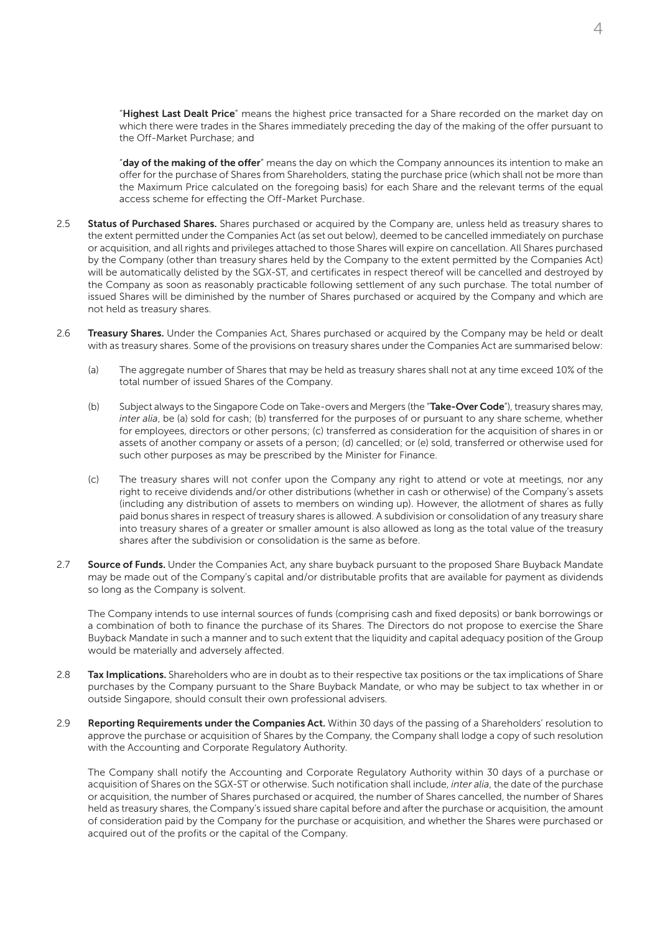"Highest Last Dealt Price" means the highest price transacted for a Share recorded on the market day on which there were trades in the Shares immediately preceding the day of the making of the offer pursuant to the Off-Market Purchase; and

"day of the making of the offer" means the day on which the Company announces its intention to make an offer for the purchase of Shares from Shareholders, stating the purchase price (which shall not be more than the Maximum Price calculated on the foregoing basis) for each Share and the relevant terms of the equal access scheme for effecting the Off-Market Purchase.

- 2.5 Status of Purchased Shares. Shares purchased or acquired by the Company are, unless held as treasury shares to the extent permitted under the Companies Act (as set out below), deemed to be cancelled immediately on purchase or acquisition, and all rights and privileges attached to those Shares will expire on cancellation. All Shares purchased by the Company (other than treasury shares held by the Company to the extent permitted by the Companies Act) will be automatically delisted by the SGX-ST, and certificates in respect thereof will be cancelled and destroyed by the Company as soon as reasonably practicable following settlement of any such purchase. The total number of issued Shares will be diminished by the number of Shares purchased or acquired by the Company and which are not held as treasury shares.
- 2.6 Treasury Shares. Under the Companies Act. Shares purchased or acquired by the Company may be held or dealt with as treasury shares. Some of the provisions on treasury shares under the Companies Act are summarised below:
	- (a) The aggregate number of Shares that may be held as treasury shares shall not at any time exceed 10% of the total number of issued Shares of the Company.
	- (b) Subject always to the Singapore Code on Take-overs and Mergers (the "Take-Over Code"), treasury shares may, *inter alia*, be (a) sold for cash; (b) transferred for the purposes of or pursuant to any share scheme, whether for employees, directors or other persons; (c) transferred as consideration for the acquisition of shares in or assets of another company or assets of a person; (d) cancelled; or (e) sold, transferred or otherwise used for such other purposes as may be prescribed by the Minister for Finance.
	- (c) The treasury shares will not confer upon the Company any right to attend or vote at meetings, nor any right to receive dividends and/or other distributions (whether in cash or otherwise) of the Company's assets (including any distribution of assets to members on winding up). However, the allotment of shares as fully paid bonus shares in respect of treasury shares is allowed. A subdivision or consolidation of any treasury share into treasury shares of a greater or smaller amount is also allowed as long as the total value of the treasury shares after the subdivision or consolidation is the same as before.
- 2.7 Source of Funds. Under the Companies Act, any share buyback pursuant to the proposed Share Buyback Mandate may be made out of the Company's capital and/or distributable profits that are available for payment as dividends so long as the Company is solvent.

The Company intends to use internal sources of funds (comprising cash and fixed deposits) or bank borrowings or a combination of both to finance the purchase of its Shares. The Directors do not propose to exercise the Share Buyback Mandate in such a manner and to such extent that the liquidity and capital adequacy position of the Group would be materially and adversely affected.

- 2.8 **Tax Implications.** Shareholders who are in doubt as to their respective tax positions or the tax implications of Share purchases by the Company pursuant to the Share Buyback Mandate, or who may be subject to tax whether in or outside Singapore, should consult their own professional advisers.
- 2.9 Reporting Requirements under the Companies Act. Within 30 days of the passing of a Shareholders' resolution to approve the purchase or acquisition of Shares by the Company, the Company shall lodge a copy of such resolution with the Accounting and Corporate Regulatory Authority.

The Company shall notify the Accounting and Corporate Regulatory Authority within 30 days of a purchase or acquisition of Shares on the SGX-ST or otherwise. Such notification shall include, *inter alia*, the date of the purchase or acquisition, the number of Shares purchased or acquired, the number of Shares cancelled, the number of Shares held as treasury shares, the Company's issued share capital before and after the purchase or acquisition, the amount of consideration paid by the Company for the purchase or acquisition, and whether the Shares were purchased or acquired out of the profits or the capital of the Company.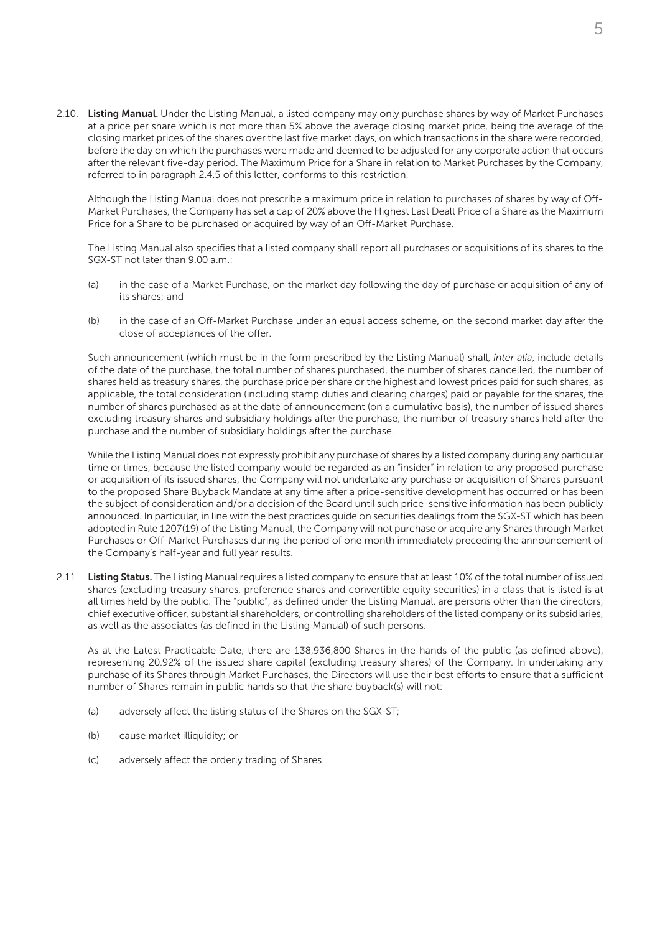2.10. Listing Manual. Under the Listing Manual, a listed company may only purchase shares by way of Market Purchases at a price per share which is not more than 5% above the average closing market price, being the average of the closing market prices of the shares over the last five market days, on which transactions in the share were recorded, before the day on which the purchases were made and deemed to be adjusted for any corporate action that occurs after the relevant five-day period. The Maximum Price for a Share in relation to Market Purchases by the Company, referred to in paragraph 2.4.5 of this letter, conforms to this restriction.

Although the Listing Manual does not prescribe a maximum price in relation to purchases of shares by way of Off-Market Purchases, the Company has set a cap of 20% above the Highest Last Dealt Price of a Share as the Maximum Price for a Share to be purchased or acquired by way of an Off-Market Purchase.

The Listing Manual also specifies that a listed company shall report all purchases or acquisitions of its shares to the SGX-ST not later than 9.00 a.m.:

- (a) in the case of a Market Purchase, on the market day following the day of purchase or acquisition of any of its shares; and
- (b) in the case of an Off-Market Purchase under an equal access scheme, on the second market day after the close of acceptances of the offer.

Such announcement (which must be in the form prescribed by the Listing Manual) shall, *inter alia*, include details of the date of the purchase, the total number of shares purchased, the number of shares cancelled, the number of shares held as treasury shares, the purchase price per share or the highest and lowest prices paid for such shares, as applicable, the total consideration (including stamp duties and clearing charges) paid or payable for the shares, the number of shares purchased as at the date of announcement (on a cumulative basis), the number of issued shares excluding treasury shares and subsidiary holdings after the purchase, the number of treasury shares held after the purchase and the number of subsidiary holdings after the purchase.

While the Listing Manual does not expressly prohibit any purchase of shares by a listed company during any particular time or times, because the listed company would be regarded as an "insider" in relation to any proposed purchase or acquisition of its issued shares, the Company will not undertake any purchase or acquisition of Shares pursuant to the proposed Share Buyback Mandate at any time after a price-sensitive development has occurred or has been the subject of consideration and/or a decision of the Board until such price-sensitive information has been publicly announced. In particular, in line with the best practices guide on securities dealings from the SGX-ST which has been adopted in Rule 1207(19) of the Listing Manual, the Company will not purchase or acquire any Shares through Market Purchases or Off-Market Purchases during the period of one month immediately preceding the announcement of the Company's half-year and full year results.

2.11 Listing Status. The Listing Manual requires a listed company to ensure that at least 10% of the total number of issued shares (excluding treasury shares, preference shares and convertible equity securities) in a class that is listed is at all times held by the public. The "public", as defined under the Listing Manual, are persons other than the directors, chief executive officer, substantial shareholders, or controlling shareholders of the listed company or its subsidiaries, as well as the associates (as defined in the Listing Manual) of such persons.

As at the Latest Practicable Date, there are 138,936,800 Shares in the hands of the public (as defined above), representing 20.92% of the issued share capital (excluding treasury shares) of the Company. In undertaking any purchase of its Shares through Market Purchases, the Directors will use their best efforts to ensure that a sufficient number of Shares remain in public hands so that the share buyback(s) will not:

- (a) adversely affect the listing status of the Shares on the SGX-ST;
- (b) cause market illiquidity; or
- (c) adversely affect the orderly trading of Shares.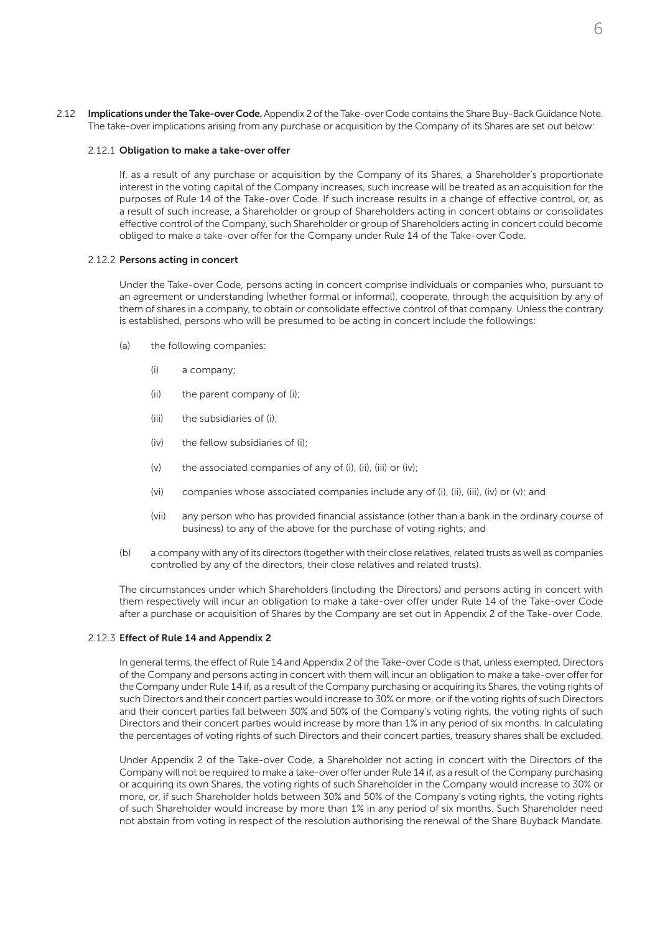2.12 Implications under the Take-over Code. Appendix 2 of the Take-over Code contains the Share Buy-Back Guidance Note. The take-over implications arising from any purchase or acquisition by the Company of its Shares are set out below:

#### 2.12.1 Obligation to make a take-over offer

If, as a result of any purchase or acquisition by the Company of its Shares, a Shareholder's proportionate interest in the voting capital of the Company increases, such increase will be treated as an acquisition for the purposes of Rule 14 of the Take-over Code. If such increase results in a change of effective control, or, as a result of such increase, a Shareholder or group of Shareholders acting in concert obtains or consolidates effective control of the Company, such Shareholder or group of Shareholders acting in concert could become obliged to make a take-over offer for the Company under Rule 14 of the Take-over Code.

#### 2.12.2 Persons acting in concert

Under the Take-over Code, persons acting in concert comprise individuals or companies who, pursuant to an agreement or understanding (whether formal or informal), cooperate, through the acquisition by any of them of shares in a company, to obtain or consolidate effective control of that company. Unless the contrary is established, persons who will be presumed to be acting in concert include the followings:

- (a) the following companies:
	- (i) a company;
	- (ii) the parent company of (i);
	- (iii) the subsidiaries of (i);
	- (iv) the fellow subsidiaries of (i);
	- (v) the associated companies of any of (i), (ii), (iii) or (iv);
	- (vi) companies whose associated companies include any of (i), (ii), (iii), (iv) or (v); and
	- (vii) any person who has provided financial assistance (other than a bank in the ordinary course of business) to any of the above for the purchase of voting rights; and
- (b) a company with any of its directors (together with their close relatives, related trusts as well as companies controlled by any of the directors, their close relatives and related trusts).

The circumstances under which Shareholders (including the Directors) and persons acting in concert with them respectively will incur an obligation to make a take-over offer under Rule 14 of the Take-over Code after a purchase or acquisition of Shares by the Company are set out in Appendix 2 of the Take-over Code.

#### 2.12.3 Effect of Rule 14 and Appendix 2

In general terms, the effect of Rule 14 and Appendix 2 of the Take-over Code is that, unless exempted, Directors of the Company and persons acting in concert with them will incur an obligation to make a take-over offer for the Company under Rule 14 if, as a result of the Company purchasing or acquiring its Shares, the voting rights of such Directors and their concert parties would increase to 30% or more, or if the voting rights of such Directors and their concert parties fall between 30% and 50% of the Company's voting rights, the voting rights of such Directors and their concert parties would increase by more than 1% in any period of six months. In calculating the percentages of voting rights of such Directors and their concert parties, treasury shares shall be excluded.

Under Appendix 2 of the Take-over Code, a Shareholder not acting in concert with the Directors of the Company will not be required to make a take-over offer under Rule 14 if, as a result of the Company purchasing or acquiring its own Shares, the voting rights of such Shareholder in the Company would increase to 30% or more, or, if such Shareholder holds between 30% and 50% of the Company's voting rights, the voting rights of such Shareholder would increase by more than 1% in any period of six months. Such Shareholder need not abstain from voting in respect of the resolution authorising the renewal of the Share Buyback Mandate.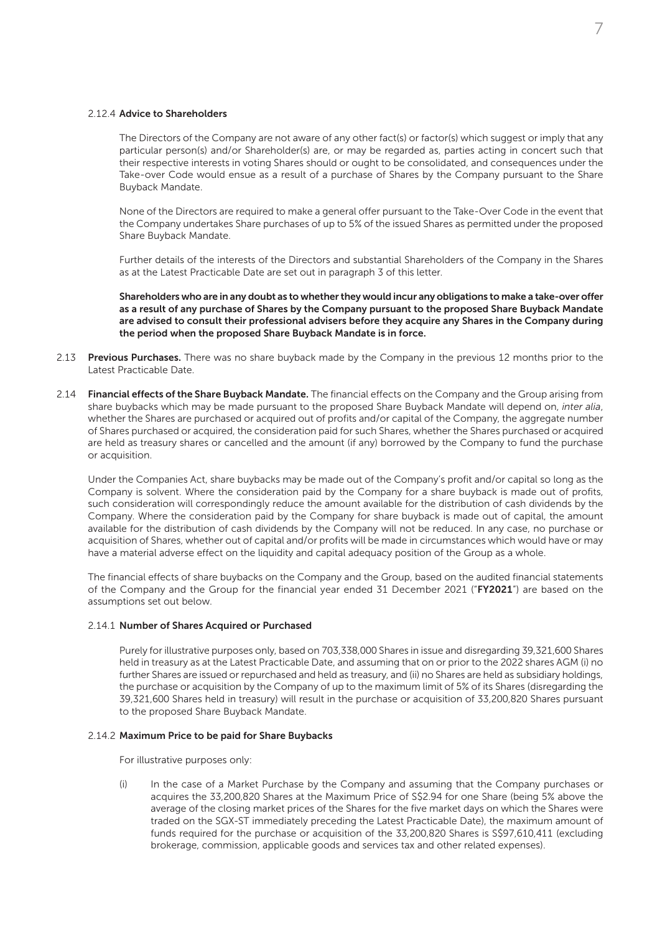#### 2.12.4 Advice to Shareholders

The Directors of the Company are not aware of any other fact(s) or factor(s) which suggest or imply that any particular person(s) and/or Shareholder(s) are, or may be regarded as, parties acting in concert such that their respective interests in voting Shares should or ought to be consolidated, and consequences under the Take-over Code would ensue as a result of a purchase of Shares by the Company pursuant to the Share Buyback Mandate.

None of the Directors are required to make a general offer pursuant to the Take-Over Code in the event that the Company undertakes Share purchases of up to 5% of the issued Shares as permitted under the proposed Share Buyback Mandate.

Further details of the interests of the Directors and substantial Shareholders of the Company in the Shares as at the Latest Practicable Date are set out in paragraph 3 of this letter.

Shareholders who are in any doubt as to whether they would incur any obligations to make a take-over offer as a result of any purchase of Shares by the Company pursuant to the proposed Share Buyback Mandate are advised to consult their professional advisers before they acquire any Shares in the Company during the period when the proposed Share Buyback Mandate is in force.

- 2.13 Previous Purchases. There was no share buyback made by the Company in the previous 12 months prior to the Latest Practicable Date.
- 2.14 Financial effects of the Share Buyback Mandate. The financial effects on the Company and the Group arising from share buybacks which may be made pursuant to the proposed Share Buyback Mandate will depend on, *inter alia*, whether the Shares are purchased or acquired out of profits and/or capital of the Company, the aggregate number of Shares purchased or acquired, the consideration paid for such Shares, whether the Shares purchased or acquired are held as treasury shares or cancelled and the amount (if any) borrowed by the Company to fund the purchase or acquisition.

Under the Companies Act, share buybacks may be made out of the Company's profit and/or capital so long as the Company is solvent. Where the consideration paid by the Company for a share buyback is made out of profits, such consideration will correspondingly reduce the amount available for the distribution of cash dividends by the Company. Where the consideration paid by the Company for share buyback is made out of capital, the amount available for the distribution of cash dividends by the Company will not be reduced. In any case, no purchase or acquisition of Shares, whether out of capital and/or profits will be made in circumstances which would have or may have a material adverse effect on the liquidity and capital adequacy position of the Group as a whole.

The financial effects of share buybacks on the Company and the Group, based on the audited financial statements of the Company and the Group for the financial year ended 31 December 2021 ("FY2021") are based on the assumptions set out below.

#### 2.14.1 Number of Shares Acquired or Purchased

Purely for illustrative purposes only, based on 703,338,000 Shares in issue and disregarding 39,321,600 Shares held in treasury as at the Latest Practicable Date, and assuming that on or prior to the 2022 shares AGM (i) no further Shares are issued or repurchased and held as treasury, and (ii) no Shares are held as subsidiary holdings, the purchase or acquisition by the Company of up to the maximum limit of 5% of its Shares (disregarding the 39,321,600 Shares held in treasury) will result in the purchase or acquisition of 33,200,820 Shares pursuant to the proposed Share Buyback Mandate.

#### 2.14.2 Maximum Price to be paid for Share Buybacks

For illustrative purposes only:

(i) In the case of a Market Purchase by the Company and assuming that the Company purchases or acquires the 33,200,820 Shares at the Maximum Price of S\$2.94 for one Share (being 5% above the average of the closing market prices of the Shares for the five market days on which the Shares were traded on the SGX-ST immediately preceding the Latest Practicable Date), the maximum amount of funds required for the purchase or acquisition of the 33,200,820 Shares is S\$97,610,411 (excluding brokerage, commission, applicable goods and services tax and other related expenses).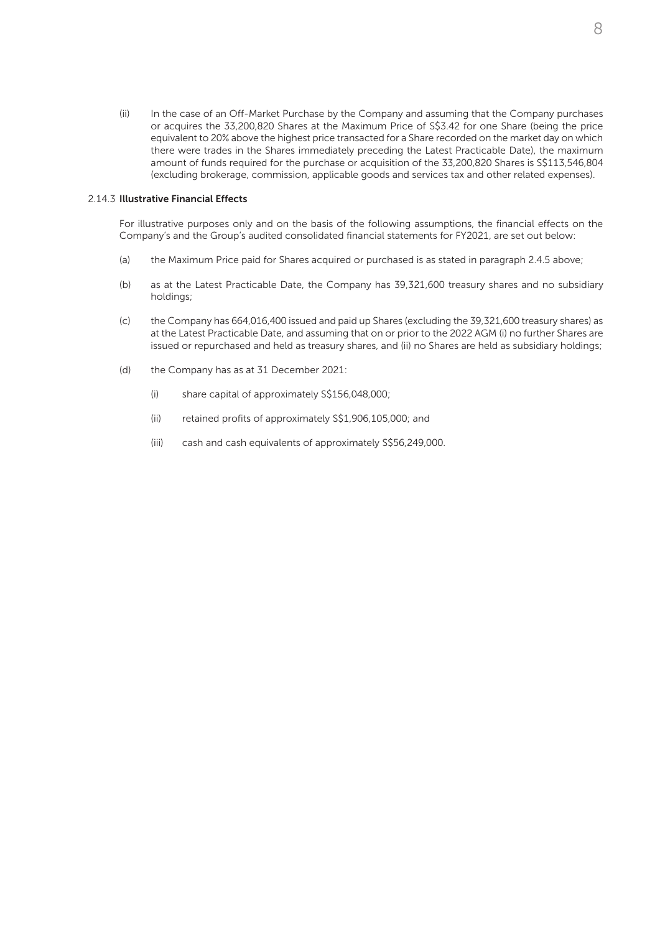(ii) In the case of an Off-Market Purchase by the Company and assuming that the Company purchases or acquires the 33,200,820 Shares at the Maximum Price of S\$3.42 for one Share (being the price equivalent to 20% above the highest price transacted for a Share recorded on the market day on which there were trades in the Shares immediately preceding the Latest Practicable Date), the maximum amount of funds required for the purchase or acquisition of the 33,200,820 Shares is S\$113,546,804 (excluding brokerage, commission, applicable goods and services tax and other related expenses).

#### 2.14.3 Illustrative Financial Effects

For illustrative purposes only and on the basis of the following assumptions, the financial effects on the Company's and the Group's audited consolidated financial statements for FY2021, are set out below:

- (a) the Maximum Price paid for Shares acquired or purchased is as stated in paragraph 2.4.5 above;
- (b) as at the Latest Practicable Date, the Company has 39,321,600 treasury shares and no subsidiary holdings;
- (c) the Company has 664,016,400 issued and paid up Shares (excluding the 39,321,600 treasury shares) as at the Latest Practicable Date, and assuming that on or prior to the 2022 AGM (i) no further Shares are issued or repurchased and held as treasury shares, and (ii) no Shares are held as subsidiary holdings;
- (d) the Company has as at 31 December 2021:
	- (i) share capital of approximately S\$156,048,000;
	- (ii) retained profits of approximately S\$1,906,105,000; and
	- (iii) cash and cash equivalents of approximately S\$56,249,000.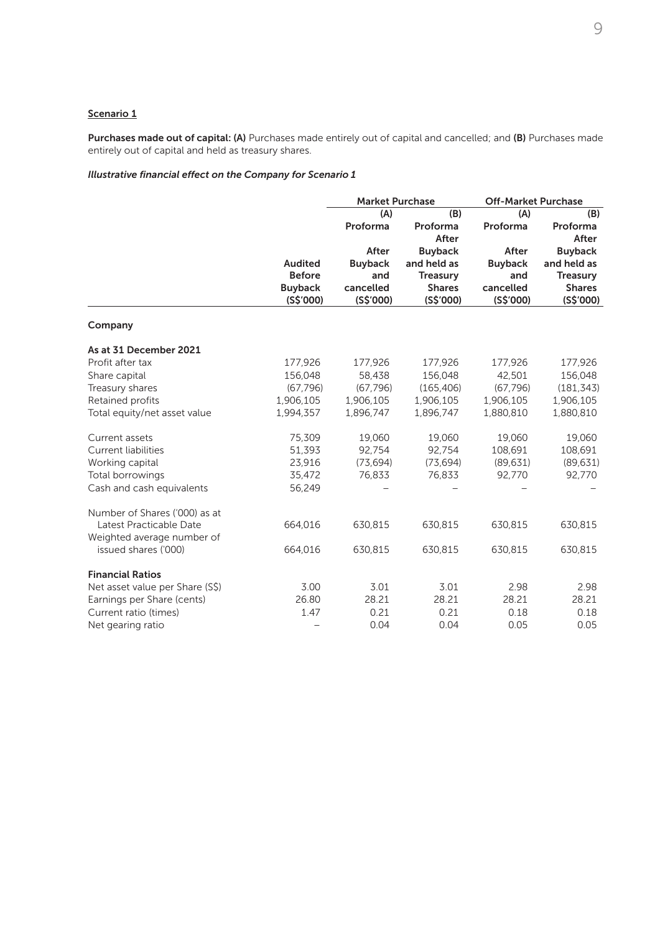# Scenario 1

Purchases made out of capital: (A) Purchases made entirely out of capital and cancelled; and (B) Purchases made entirely out of capital and held as treasury shares.

# *Illustrative financial effect on the Company for Scenario 1*

|                                 |                                 | <b>Market Purchase</b> |                 | <b>Off-Market Purchase</b> |                 |
|---------------------------------|---------------------------------|------------------------|-----------------|----------------------------|-----------------|
|                                 |                                 | (A)                    | (B)             | (A)                        | (B)             |
|                                 |                                 | Proforma               | Proforma        | Proforma                   | Proforma        |
|                                 |                                 |                        | After           |                            | After           |
|                                 | <b>Audited</b><br><b>Before</b> | After                  | <b>Buyback</b>  | After                      | <b>Buyback</b>  |
|                                 |                                 | <b>Buyback</b>         | and held as     | <b>Buyback</b>             | and held as     |
|                                 |                                 | and                    | <b>Treasury</b> | and                        | <b>Treasury</b> |
|                                 | <b>Buyback</b>                  | cancelled              | <b>Shares</b>   | cancelled                  | <b>Shares</b>   |
|                                 | (S\$'000)                       | (S\$'000)              | (S\$'000)       | (S\$'000)                  | (S\$'000)       |
| Company                         |                                 |                        |                 |                            |                 |
| As at 31 December 2021          |                                 |                        |                 |                            |                 |
| Profit after tax                | 177,926                         | 177,926                | 177,926         | 177,926                    | 177,926         |
| Share capital                   | 156,048                         | 58,438                 | 156,048         | 42,501                     | 156,048         |
| Treasury shares                 | (67, 796)                       | (67, 796)              | (165, 406)      | (67, 796)                  | (181, 343)      |
| Retained profits                | 1,906,105                       | 1,906,105              | 1,906,105       | 1,906,105                  | 1,906,105       |
| Total equity/net asset value    | 1,994,357                       | 1,896,747              | 1,896,747       | 1,880,810                  | 1,880,810       |
| Current assets                  | 75,309                          | 19,060                 | 19,060          | 19,060                     | 19,060          |
| <b>Current liabilities</b>      | 51,393                          | 92,754                 | 92,754          | 108,691                    | 108,691         |
| Working capital                 | 23,916                          | (73, 694)              | (73, 694)       | (89, 631)                  | (89, 631)       |
| Total borrowings                | 35,472                          | 76,833                 | 76,833          | 92,770                     | 92,770          |
| Cash and cash equivalents       | 56,249                          |                        |                 |                            |                 |
| Number of Shares ('000) as at   |                                 |                        |                 |                            |                 |
| Latest Practicable Date         | 664,016                         | 630,815                | 630,815         | 630,815                    | 630,815         |
| Weighted average number of      |                                 |                        |                 |                            |                 |
| issued shares ('000)            | 664,016                         | 630,815                | 630,815         | 630,815                    | 630,815         |
| <b>Financial Ratios</b>         |                                 |                        |                 |                            |                 |
| Net asset value per Share (S\$) | 3.00                            | 3.01                   | 3.01            | 2.98                       | 2.98            |
| Earnings per Share (cents)      | 26.80                           | 28.21                  | 28.21           | 28.21                      | 28.21           |
| Current ratio (times)           | 1.47                            | 0.21                   | 0.21            | 0.18                       | 0.18            |
| Net gearing ratio               |                                 | 0.04                   | 0.04            | 0.05                       | 0.05            |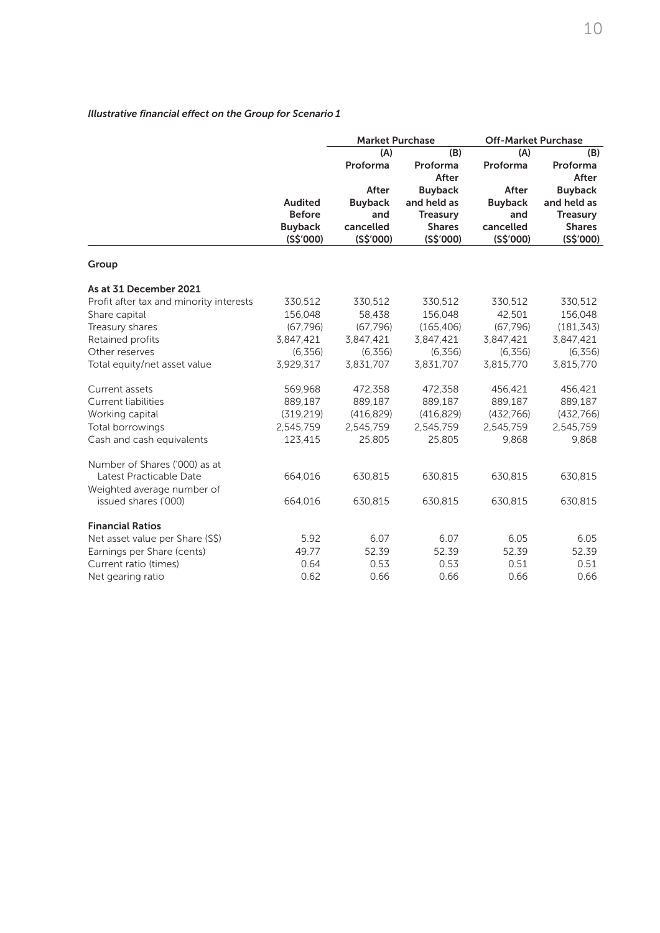# *Illustrative financial effect on the Group for Scenario 1*

|                                         |                             | <b>Market Purchase</b> |                            | <b>Off-Market Purchase</b> |                            |
|-----------------------------------------|-----------------------------|------------------------|----------------------------|----------------------------|----------------------------|
|                                         |                             | (A)                    | (B)                        | (A)                        | (B)                        |
|                                         |                             | Proforma               | Proforma                   | Proforma                   | Proforma                   |
|                                         |                             |                        | After                      |                            | After                      |
|                                         |                             | After                  | <b>Buyback</b>             | After                      | <b>Buyback</b>             |
|                                         | <b>Audited</b>              | <b>Buyback</b>         | and held as                | <b>Buyback</b>             | and held as                |
|                                         | <b>Before</b>               | and                    | <b>Treasury</b>            | and                        | <b>Treasury</b>            |
|                                         | <b>Buyback</b><br>(S\$'000) | cancelled<br>(S\$'000) | <b>Shares</b><br>(S\$'000) | cancelled<br>(S\$'000)     | <b>Shares</b><br>(S\$'000) |
|                                         |                             |                        |                            |                            |                            |
| Group                                   |                             |                        |                            |                            |                            |
| As at 31 December 2021                  |                             |                        |                            |                            |                            |
| Profit after tax and minority interests | 330,512                     | 330,512                | 330,512                    | 330,512                    | 330,512                    |
| Share capital                           | 156,048                     | 58,438                 | 156,048                    | 42,501                     | 156,048                    |
| Treasury shares                         | (67, 796)                   | (67, 796)              | (165, 406)                 | (67, 796)                  | (181, 343)                 |
| Retained profits                        | 3,847,421                   | 3,847,421              | 3,847,421                  | 3,847,421                  | 3,847,421                  |
| Other reserves                          | (6, 356)                    | (6, 356)               | (6, 356)                   | (6, 356)                   | (6, 356)                   |
| Total equity/net asset value            | 3,929,317                   | 3,831,707              | 3,831,707                  | 3,815,770                  | 3,815,770                  |
| Current assets                          | 569,968                     | 472,358                | 472,358                    | 456,421                    | 456,421                    |
| <b>Current liabilities</b>              | 889,187                     | 889,187                | 889,187                    | 889,187                    | 889,187                    |
| Working capital                         | (319, 219)                  | (416, 829)             | (416, 829)                 | (432, 766)                 | (432, 766)                 |
| Total borrowings                        | 2,545,759                   | 2,545,759              | 2,545,759                  | 2,545,759                  | 2,545,759                  |
| Cash and cash equivalents               | 123,415                     | 25,805                 | 25,805                     | 9,868                      | 9,868                      |
| Number of Shares ('000) as at           |                             |                        |                            |                            |                            |
| Latest Practicable Date                 | 664,016                     | 630,815                | 630,815                    | 630,815                    | 630,815                    |
| Weighted average number of              |                             |                        |                            |                            |                            |
| issued shares ('000)                    | 664,016                     | 630,815                | 630,815                    | 630,815                    | 630,815                    |
| <b>Financial Ratios</b>                 |                             |                        |                            |                            |                            |
| Net asset value per Share (S\$)         | 5.92                        | 6.07                   | 6.07                       | 6.05                       | 6.05                       |
| Earnings per Share (cents)              | 49.77                       | 52.39                  | 52.39                      | 52.39                      | 52.39                      |
| Current ratio (times)                   | 0.64                        | 0.53                   | 0.53                       | 0.51                       | 0.51                       |
| Net gearing ratio                       | 0.62                        | 0.66                   | 0.66                       | 0.66                       | 0.66                       |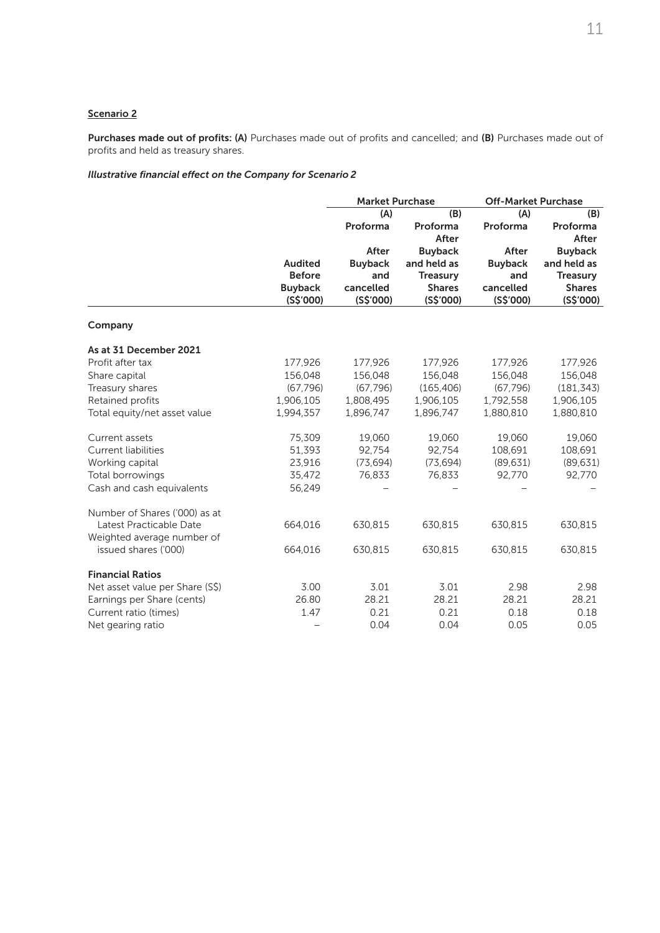# Scenario 2

Purchases made out of profits: (A) Purchases made out of profits and cancelled; and (B) Purchases made out of profits and held as treasury shares.

# *Illustrative financial effect on the Company for Scenario 2*

|                                 | <b>Market Purchase</b> |                |                 | <b>Off-Market Purchase</b> |                 |  |
|---------------------------------|------------------------|----------------|-----------------|----------------------------|-----------------|--|
|                                 |                        | (A)            | (B)             | (A)                        | (B)             |  |
|                                 |                        | Proforma       | Proforma        | Proforma                   | Proforma        |  |
|                                 |                        |                | After           |                            | After           |  |
|                                 |                        | After          | <b>Buyback</b>  | After                      | <b>Buyback</b>  |  |
|                                 | <b>Audited</b>         | <b>Buyback</b> | and held as     | <b>Buyback</b>             | and held as     |  |
|                                 | <b>Before</b>          | and            | <b>Treasury</b> | and                        | <b>Treasury</b> |  |
|                                 | <b>Buyback</b>         | cancelled      | <b>Shares</b>   | cancelled                  | <b>Shares</b>   |  |
|                                 | (S\$'000)              | (S\$'000)      | (S\$'000)       | (S\$'000)                  | (S\$'000)       |  |
| Company                         |                        |                |                 |                            |                 |  |
| As at 31 December 2021          |                        |                |                 |                            |                 |  |
| Profit after tax                | 177,926                | 177,926        | 177,926         | 177,926                    | 177,926         |  |
| Share capital                   | 156,048                | 156,048        | 156,048         | 156,048                    | 156,048         |  |
| Treasury shares                 | (67, 796)              | (67, 796)      | (165, 406)      | (67, 796)                  | (181, 343)      |  |
| Retained profits                | 1,906,105              | 1,808,495      | 1,906,105       | 1,792,558                  | 1,906,105       |  |
| Total equity/net asset value    | 1,994,357              | 1,896,747      | 1,896,747       | 1,880,810                  | 1,880,810       |  |
| Current assets                  | 75,309                 | 19,060         | 19,060          | 19,060                     | 19,060          |  |
| <b>Current liabilities</b>      | 51,393                 | 92,754         | 92,754          | 108,691                    | 108,691         |  |
| Working capital                 | 23,916                 | (73, 694)      | (73, 694)       | (89, 631)                  | (89, 631)       |  |
| Total borrowings                | 35,472                 | 76.833         | 76.833          | 92,770                     | 92,770          |  |
| Cash and cash equivalents       | 56,249                 |                |                 |                            |                 |  |
| Number of Shares ('000) as at   |                        |                |                 |                            |                 |  |
| Latest Practicable Date         | 664,016                | 630,815        | 630,815         | 630,815                    | 630,815         |  |
| Weighted average number of      |                        |                |                 |                            |                 |  |
| issued shares ('000)            | 664,016                | 630,815        | 630,815         | 630,815                    | 630,815         |  |
| <b>Financial Ratios</b>         |                        |                |                 |                            |                 |  |
| Net asset value per Share (S\$) | 3.00                   | 3.01           | 3.01            | 2.98                       | 2.98            |  |
| Earnings per Share (cents)      | 26.80                  | 28.21          | 28.21           | 28.21                      | 28.21           |  |
| Current ratio (times)           | 1.47                   | 0.21           | 0.21            | 0.18                       | 0.18            |  |
| Net gearing ratio               |                        | 0.04           | 0.04            | 0.05                       | 0.05            |  |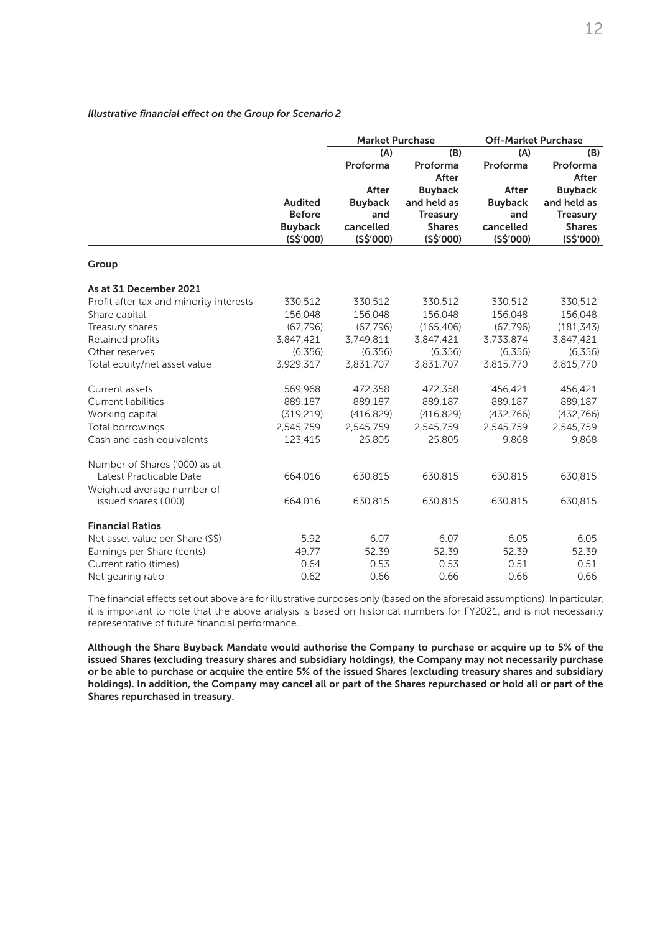# *Illustrative financial effect on the Group for Scenario 2*

|                                         |                | <b>Market Purchase</b> |                 | <b>Off-Market Purchase</b> |                 |
|-----------------------------------------|----------------|------------------------|-----------------|----------------------------|-----------------|
|                                         |                | (A)                    | (B)             | (A)                        | (B)             |
|                                         |                | Proforma               | Proforma        | Proforma                   | Proforma        |
|                                         |                |                        | After           |                            | After           |
|                                         |                | After                  | <b>Buyback</b>  | After                      | <b>Buyback</b>  |
|                                         | <b>Audited</b> | <b>Buyback</b>         | and held as     | <b>Buyback</b>             | and held as     |
|                                         | <b>Before</b>  | and                    | <b>Treasury</b> | and                        | <b>Treasury</b> |
|                                         | <b>Buyback</b> | cancelled              | <b>Shares</b>   | cancelled                  | <b>Shares</b>   |
|                                         | (S\$'000)      | (S\$'000)              | (S\$'000)       | (S\$'000)                  | (S\$'000)       |
| Group                                   |                |                        |                 |                            |                 |
| As at 31 December 2021                  |                |                        |                 |                            |                 |
| Profit after tax and minority interests | 330,512        | 330,512                | 330,512         | 330,512                    | 330,512         |
| Share capital                           | 156,048        | 156,048                | 156,048         | 156,048                    | 156,048         |
| Treasury shares                         | (67, 796)      | (67, 796)              | (165, 406)      | (67, 796)                  | (181, 343)      |
| Retained profits                        | 3,847,421      | 3,749,811              | 3,847,421       | 3,733,874                  | 3,847,421       |
| Other reserves                          | (6, 356)       | (6, 356)               | (6, 356)        | (6, 356)                   | (6, 356)        |
| Total equity/net asset value            | 3,929,317      | 3,831,707              | 3,831,707       | 3,815,770                  | 3,815,770       |
| Current assets                          | 569,968        | 472,358                | 472,358         | 456,421                    | 456,421         |
| <b>Current liabilities</b>              | 889,187        | 889,187                | 889,187         | 889,187                    | 889,187         |
| Working capital                         | (319, 219)     | (416, 829)             | (416, 829)      | (432, 766)                 | (432, 766)      |
| Total borrowings                        | 2,545,759      | 2,545,759              | 2,545,759       | 2,545,759                  | 2,545,759       |
| Cash and cash equivalents               | 123,415        | 25,805                 | 25,805          | 9,868                      | 9,868           |
| Number of Shares ('000) as at           |                |                        |                 |                            |                 |
| Latest Practicable Date                 | 664,016        | 630,815                | 630,815         | 630,815                    | 630,815         |
| Weighted average number of              |                |                        |                 |                            |                 |
| issued shares ('000)                    | 664,016        | 630,815                | 630,815         | 630,815                    | 630,815         |
| <b>Financial Ratios</b>                 |                |                        |                 |                            |                 |
| Net asset value per Share (S\$)         | 5.92           | 6.07                   | 6.07            | 6.05                       | 6.05            |
| Earnings per Share (cents)              | 49.77          | 52.39                  | 52.39           | 52.39                      | 52.39           |
| Current ratio (times)                   | 0.64           | 0.53                   | 0.53            | 0.51                       | 0.51            |
| Net gearing ratio                       | 0.62           | 0.66                   | 0.66            | 0.66                       | 0.66            |

The financial effects set out above are for illustrative purposes only (based on the aforesaid assumptions). In particular, it is important to note that the above analysis is based on historical numbers for FY2021, and is not necessarily representative of future financial performance.

Although the Share Buyback Mandate would authorise the Company to purchase or acquire up to 5% of the issued Shares (excluding treasury shares and subsidiary holdings), the Company may not necessarily purchase or be able to purchase or acquire the entire 5% of the issued Shares (excluding treasury shares and subsidiary holdings). In addition, the Company may cancel all or part of the Shares repurchased or hold all or part of the Shares repurchased in treasury.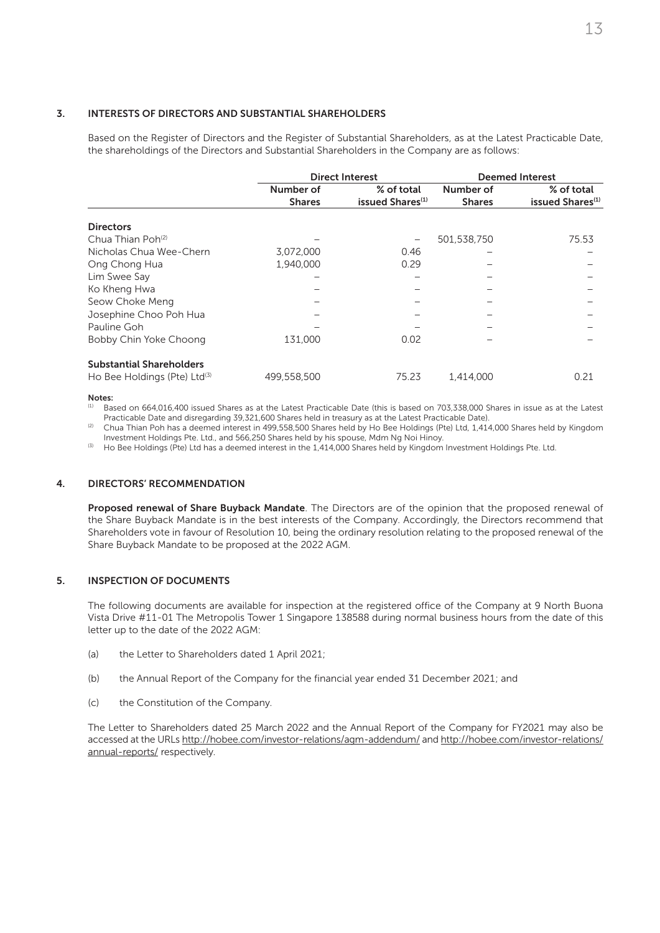#### 3. INTERESTS OF DIRECTORS AND SUBSTANTIAL SHAREHOLDERS

Based on the Register of Directors and the Register of Substantial Shareholders, as at the Latest Practicable Date, the shareholdings of the Directors and Substantial Shareholders in the Company are as follows:

|                                   |               | <b>Direct Interest</b>       | <b>Deemed Interest</b> |                              |  |
|-----------------------------------|---------------|------------------------------|------------------------|------------------------------|--|
|                                   | Number of     | % of total                   | Number of              | % of total                   |  |
|                                   | <b>Shares</b> | issued Shares <sup>(1)</sup> | <b>Shares</b>          | issued Shares <sup>(1)</sup> |  |
| <b>Directors</b>                  |               |                              |                        |                              |  |
| Chua Thian Poh <sup>(2)</sup>     |               |                              | 501,538,750            | 75.53                        |  |
| Nicholas Chua Wee-Chern           | 3,072,000     | 0.46                         |                        |                              |  |
| Ong Chong Hua                     | 1,940,000     | 0.29                         |                        |                              |  |
| Lim Swee Say                      |               |                              |                        |                              |  |
| Ko Kheng Hwa                      |               |                              |                        |                              |  |
| Seow Choke Meng                   |               |                              |                        |                              |  |
| Josephine Choo Poh Hua            |               |                              |                        |                              |  |
| Pauline Goh                       |               |                              |                        |                              |  |
| Bobby Chin Yoke Choong            | 131,000       | 0.02                         |                        |                              |  |
| <b>Substantial Shareholders</b>   |               |                              |                        |                              |  |
| Ho Bee Holdings (Pte) $Ltd^{(3)}$ | 499,558,500   | 75.23                        | 1,414,000              | 0.21                         |  |

Notes:

(1) Based on 664,016,400 issued Shares as at the Latest Practicable Date (this is based on 703,338,000 Shares in issue as at the Latest Practicable Date and disregarding 39,321,600 Shares held in treasury as at the Latest Practicable Date).

Chua Thian Poh has a deemed interest in 499,558,500 Shares held by Ho Bee Holdings (Pte) Ltd, 1,414,000 Shares held by Kingdom Investment Holdings Pte. Ltd., and 566,250 Shares held by his spouse, Mdm Ng Noi Hinoy.

<sup>(3)</sup> Ho Bee Holdings (Pte) Ltd has a deemed interest in the 1,414,000 Shares held by Kingdom Investment Holdings Pte. Ltd.

#### 4. DIRECTORS' RECOMMENDATION

Proposed renewal of Share Buyback Mandate. The Directors are of the opinion that the proposed renewal of the Share Buyback Mandate is in the best interests of the Company. Accordingly, the Directors recommend that Shareholders vote in favour of Resolution 10, being the ordinary resolution relating to the proposed renewal of the Share Buyback Mandate to be proposed at the 2022 AGM.

#### 5. INSPECTION OF DOCUMENTS

The following documents are available for inspection at the registered office of the Company at 9 North Buona Vista Drive #11-01 The Metropolis Tower 1 Singapore 138588 during normal business hours from the date of this letter up to the date of the 2022 AGM:

- (a) the Letter to Shareholders dated 1 April 2021;
- (b) the Annual Report of the Company for the financial year ended 31 December 2021; and
- (c) the Constitution of the Company.

The Letter to Shareholders dated 25 March 2022 and the Annual Report of the Company for FY2021 may also be accessed at the URLs http://hobee.com/investor-relations/agm-addendum/ and http://hobee.com/investor-relations/ annual-reports/ respectively.